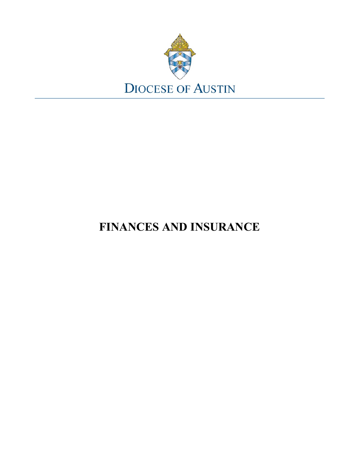

# **FINANCES AND INSURANCE**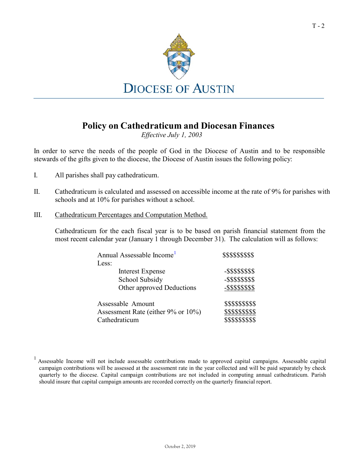

## **Policy on Cathedraticum and Diocesan Finances**

*Effective July 1, 2003*

In order to serve the needs of the people of God in the Diocese of Austin and to be responsible stewards of the gifts given to the diocese, the Diocese of Austin issues the following policy:

- I. All parishes shall pay cathedraticum.
- II. Cathedraticum is calculated and assessed on accessible income at the rate of 9% for parishes with schools and at 10% for parishes without a school.
- III. Cathedraticum Percentages and Computation Method.

Cathedraticum for the each fiscal year is to be based on parish financial statement from the most recent calendar year (January 1 through December 31). The calculation will as follows:

| Annual Assessable Income <sup>1</sup> | \$\$\$\$\$\$\$\$\$   |
|---------------------------------------|----------------------|
| Less:                                 |                      |
| Interest Expense                      | -\$\$\$\$\$\$\$\$    |
| School Subsidy                        | -\$\$\$\$\$\$\$\$    |
| Other approved Deductions             | $-$ \$\$\$\$\$\$\$\$ |
| Assessable Amount                     | \$\$\$\$\$\$\$\$\$   |
| Assessment Rate (either 9% or 10%)    | \$\$\$\$\$\$\$\$\$   |
| Cathedraticum                         | \$\$\$\$\$\$\$\$\$   |

<span id="page-1-0"></span><sup>&</sup>lt;sup>1</sup> Assessable Income will not include assessable contributions made to approved capital campaigns. Assessable capital campaign contributions will be assessed at the assessment rate in the year collected and will be paid separately by check quarterly to the diocese. Capital campaign contributions are not included in computing annual cathedraticum. Parish should insure that capital campaign amounts are recorded correctly on the quarterly financial report.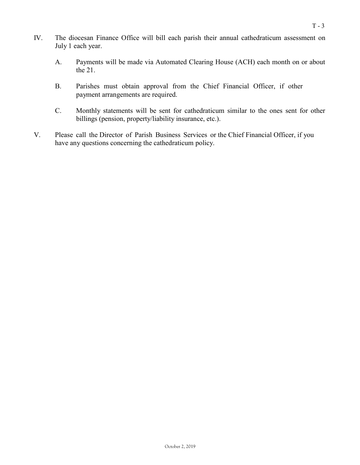- IV. The diocesan Finance Office will bill each parish their annual cathedraticum assessment on July 1 each year.
	- A. Payments will be made via Automated Clearing House (ACH) each month on or about the 21.
	- B. Parishes must obtain approval from the Chief Financial Officer, if other payment arrangements are required.
	- C. Monthly statements will be sent for cathedraticum similar to the ones sent for other billings (pension, property/liability insurance, etc.).
- V. Please call the Director of Parish Business Services or the Chief Financial Officer, if you have any questions concerning the cathedraticum policy.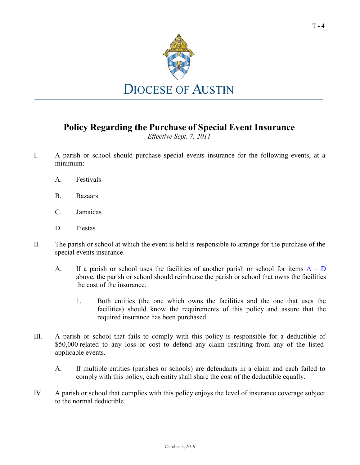

## **Policy Regarding the Purchase of Special Event Insurance**

*Effective Sept. 7, 2011*

- <span id="page-3-0"></span>I. A parish or school should purchase special events insurance for the following events, at a minimum:
	- A. Festivals
	- B. Bazaars
	- C. Jamaicas
	- D. Fiestas
- II. The parish or school at which the event is held is responsible to arrange for the purchase of the special events insurance.
	- [A](#page-3-0). If a parish or school uses the facilities of another parish or school for items  $A D$ above, the parish or school should reimburse the parish or school that owns the facilities the cost of the insurance.
		- 1. Both entities (the one which owns the facilities and the one that uses the facilities) should know the requirements of this policy and assure that the required insurance has been purchased.
- III. A parish or school that fails to comply with this policy is responsible for a deductible of \$50,000 related to any loss or cost to defend any claim resulting from any of the listed applicable events.
	- A. If multiple entities (parishes or schools) are defendants in a claim and each failed to comply with this policy, each entity shall share the cost of the deductible equally.
- IV. A parish or school that complies with this policy enjoys the level of insurance coverage subject to the normal deductible.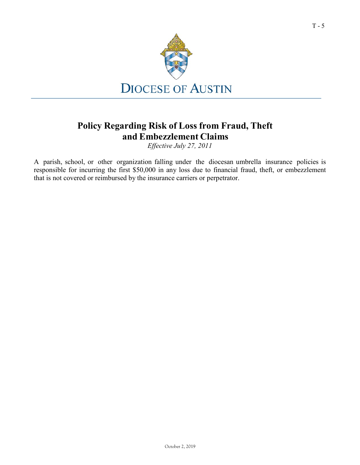

## **Policy Regarding Risk of Loss from Fraud, Theft and Embezzlement Claims**

*Effective July 27, 2011*

A parish, school, or other organization falling under the diocesan umbrella insurance policies is responsible for incurring the first \$50,000 in any loss due to financial fraud, theft, or embezzlement that is not covered or reimbursed by the insurance carriers or perpetrator.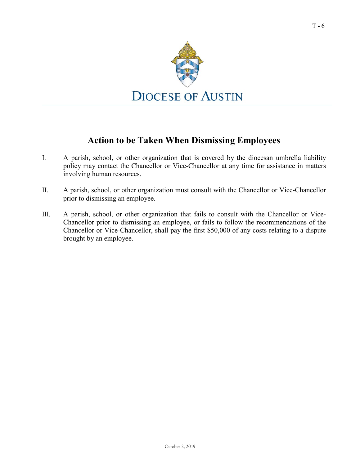

## **Action to be Taken When Dismissing Employees**

- I. A parish, school, or other organization that is covered by the diocesan umbrella liability policy may contact the Chancellor or Vice-Chancellor at any time for assistance in matters involving human resources.
- II. A parish, school, or other organization must consult with the Chancellor or Vice-Chancellor prior to dismissing an employee.
- III. A parish, school, or other organization that fails to consult with the Chancellor or Vice-Chancellor prior to dismissing an employee, or fails to follow the recommendations of the Chancellor or Vice-Chancellor, shall pay the first \$50,000 of any costs relating to a dispute brought by an employee.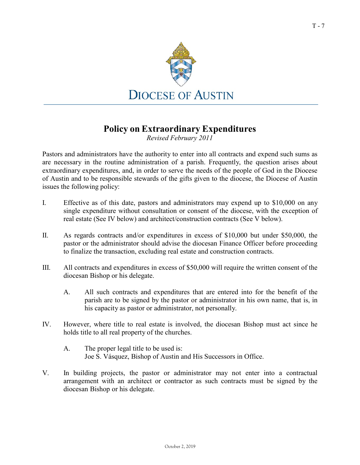

#### **Policy on Extraordinary Expenditures**

*Revised February 2011*

Pastors and administrators have the authority to enter into all contracts and expend such sums as are necessary in the routine administration of a parish. Frequently, the question arises about extraordinary expenditures, and, in order to serve the needs of the people of God in the Diocese of Austin and to be responsible stewards of the gifts given to the diocese, the Diocese of Austin issues the following policy:

- I. Effective as of this date, pastors and administrators may expend up to \$10,000 on any single expenditure without consultation or consent of the diocese, with the exception of real estate (See IV below) and architect/construction contracts (See V below).
- II. As regards contracts and/or expenditures in excess of \$10,000 but under \$50,000, the pastor or the administrator should advise the diocesan Finance Officer before proceeding to finalize the transaction, excluding real estate and construction contracts.
- III. All contracts and expenditures in excess of \$50,000 will require the written consent of the diocesan Bishop or his delegate.
	- A. All such contracts and expenditures that are entered into for the benefit of the parish are to be signed by the pastor or administrator in his own name, that is, in his capacity as pastor or administrator, not personally.
- IV. However, where title to real estate is involved, the diocesan Bishop must act since he holds title to all real property of the churches.
	- A. The proper legal title to be used is: Joe S. Vásquez, Bishop of Austin and His Successors in Office.
- V. In building projects, the pastor or administrator may not enter into a contractual arrangement with an architect or contractor as such contracts must be signed by the diocesan Bishop or his delegate.